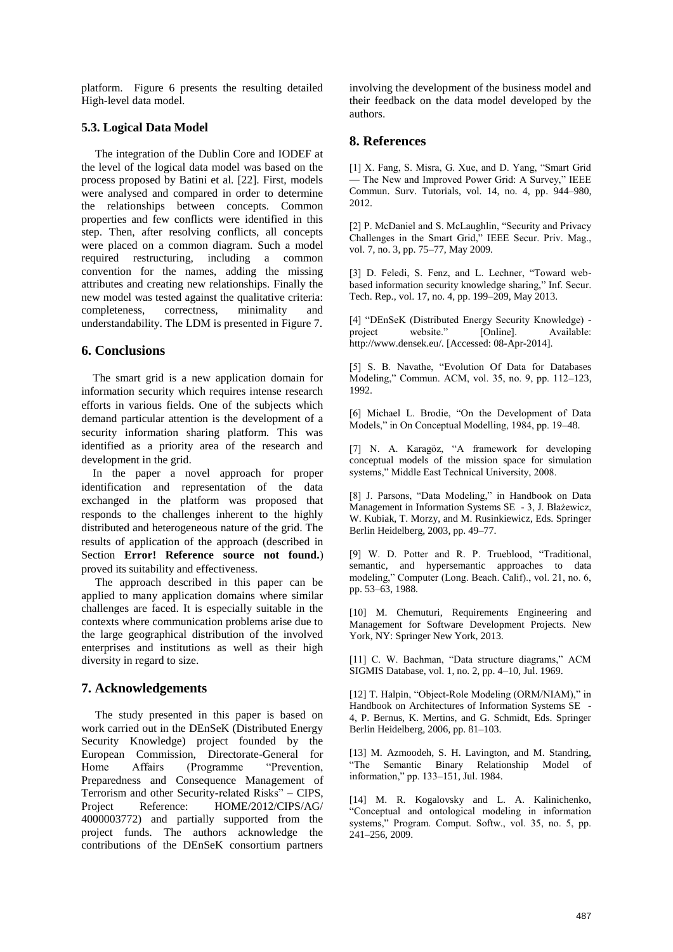platform. Figure 6 presents the resulting detailed High-level data model.

## **5.3. Logical Data Model**

The integration of the Dublin Core and IODEF at the level of the logical data model was based on the process proposed by Batini et al. [22]. First, models were analysed and compared in order to determine the relationships between concepts. Common properties and few conflicts were identified in this step. Then, after resolving conflicts, all concepts were placed on a common diagram. Such a model required restructuring, including a common convention for the names, adding the missing attributes and creating new relationships. Finally the new model was tested against the qualitative criteria: completeness, correctness, minimality and understandability. The LDM is presented in Figure 7.

## **6. Conclusions**

The smart grid is a new application domain for information security which requires intense research efforts in various fields. One of the subjects which demand particular attention is the development of a security information sharing platform. This was identified as a priority area of the research and development in the grid.

In the paper a novel approach for proper identification and representation of the data exchanged in the platform was proposed that responds to the challenges inherent to the highly distributed and heterogeneous nature of the grid. The results of application of the approach (described in Section **Error! Reference source not found.**) proved its suitability and effectiveness.

The approach described in this paper can be applied to many application domains where similar challenges are faced. It is especially suitable in the contexts where communication problems arise due to the large geographical distribution of the involved enterprises and institutions as well as their high diversity in regard to size.

## **7. Acknowledgements**

The study presented in this paper is based on work carried out in the DEnSeK (Distributed Energy Security Knowledge) project founded by the European Commission, Directorate-General for Home Affairs (Programme "Prevention, Preparedness and Consequence Management of Terrorism and other Security-related Risks" – CIPS, Project Reference: HOME/2012/CIPS/AG/ 4000003772) and partially supported from the project funds. The authors acknowledge the contributions of the DEnSeK consortium partners

involving the development of the business model and their feedback on the data model developed by the authors.

## **8. References**

[1] X. Fang, S. Misra, G. Xue, and D. Yang, "Smart Grid — The New and Improved Power Grid: A Survey," IEEE Commun. Surv. Tutorials, vol. 14, no. 4, pp. 944–980, 2012.

[2] P. McDaniel and S. McLaughlin, "Security and Privacy Challenges in the Smart Grid," IEEE Secur. Priv. Mag., vol. 7, no. 3, pp. 75–77, May 2009.

[3] D. Feledi, S. Fenz, and L. Lechner, "Toward webbased information security knowledge sharing," Inf. Secur. Tech. Rep., vol. 17, no. 4, pp. 199–209, May 2013.

[4] "DEnSeK (Distributed Energy Security Knowledge) website." [Online]. Available: http://www.densek.eu/. [Accessed: 08-Apr-2014].

[5] S. B. Navathe, "Evolution Of Data for Databases Modeling," Commun. ACM, vol. 35, no. 9, pp. 112–123, 1992.

[6] Michael L. Brodie, "On the Development of Data Models," in On Conceptual Modelling, 1984, pp. 19–48.

[7] N. A. Karagöz, "A framework for developing conceptual models of the mission space for simulation systems," Middle East Technical University, 2008.

[8] J. Parsons, "Data Modeling," in Handbook on Data Management in Information Systems SE - 3, J. Błażewicz, W. Kubiak, T. Morzy, and M. Rusinkiewicz, Eds. Springer Berlin Heidelberg, 2003, pp. 49–77.

[9] W. D. Potter and R. P. Trueblood, "Traditional, semantic, and hypersemantic approaches to data modeling," Computer (Long. Beach. Calif)., vol. 21, no. 6, pp. 53–63, 1988.

[10] M. Chemuturi, Requirements Engineering and Management for Software Development Projects. New York, NY: Springer New York, 2013.

[11] C. W. Bachman, "Data structure diagrams," ACM SIGMIS Database, vol. 1, no. 2, pp. 4–10, Jul. 1969.

[12] T. Halpin, "Object-Role Modeling (ORM/NIAM)," in Handbook on Architectures of Information Systems SE - 4, P. Bernus, K. Mertins, and G. Schmidt, Eds. Springer Berlin Heidelberg, 2006, pp. 81–103.

[13] M. Azmoodeh, S. H. Lavington, and M. Standring, "The Semantic Binary Relationship Model of information," pp. 133–151, Jul. 1984.

[14] M. R. Kogalovsky and L. A. Kalinichenko, "Conceptual and ontological modeling in information systems," Program. Comput. Softw., vol. 35, no. 5, pp. 241–256, 2009.